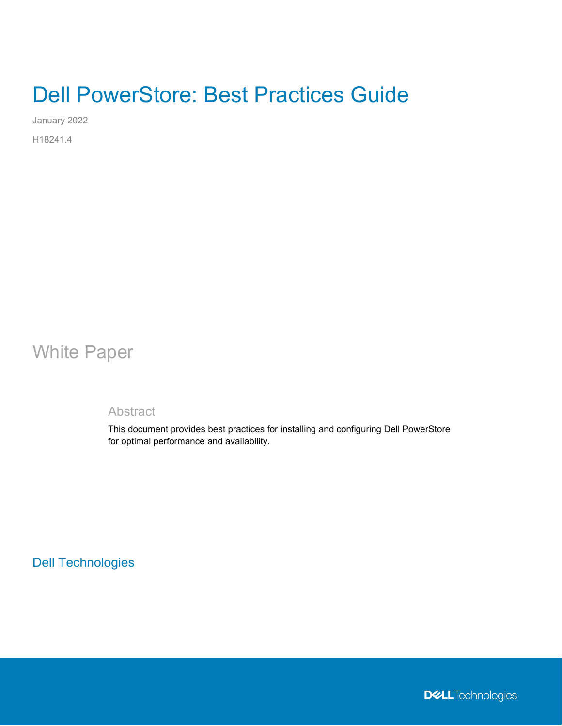# Dell PowerStore: Best Practices Guide

January 2022

H18241.4

## White Paper

## **Abstract**

This document provides best practices for installing and configuring Dell PowerStore for optimal performance and availability.

Dell Technologies

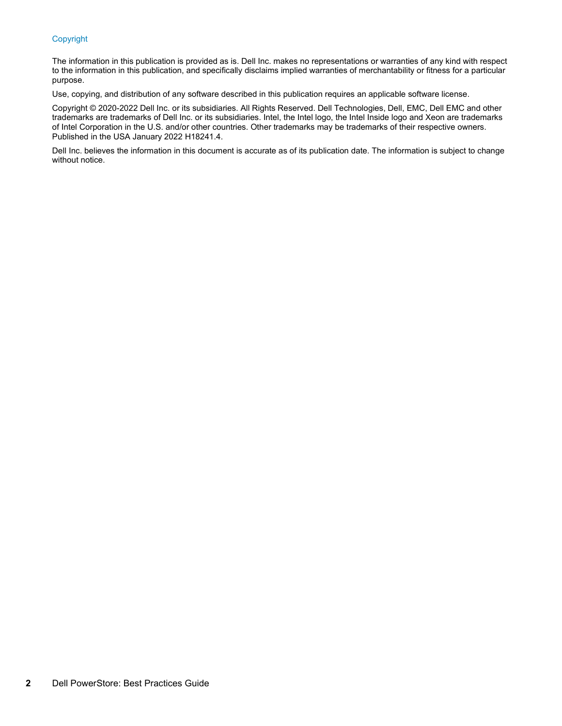#### Copyright

The information in this publication is provided as is. Dell Inc. makes no representations or warranties of any kind with respect to the information in this publication, and specifically disclaims implied warranties of merchantability or fitness for a particular purpose.

Use, copying, and distribution of any software described in this publication requires an applicable software license.

Copyright © 2020-2022 Dell Inc. or its subsidiaries. All Rights Reserved. Dell Technologies, Dell, EMC, Dell EMC and other trademarks are trademarks of Dell Inc. or its subsidiaries. Intel, the Intel logo, the Intel Inside logo and Xeon are trademarks of Intel Corporation in the U.S. and/or other countries. Other trademarks may be trademarks of their respective owners. Published in the USA January 2022 H18241.4.

Dell Inc. believes the information in this document is accurate as of its publication date. The information is subject to change without notice.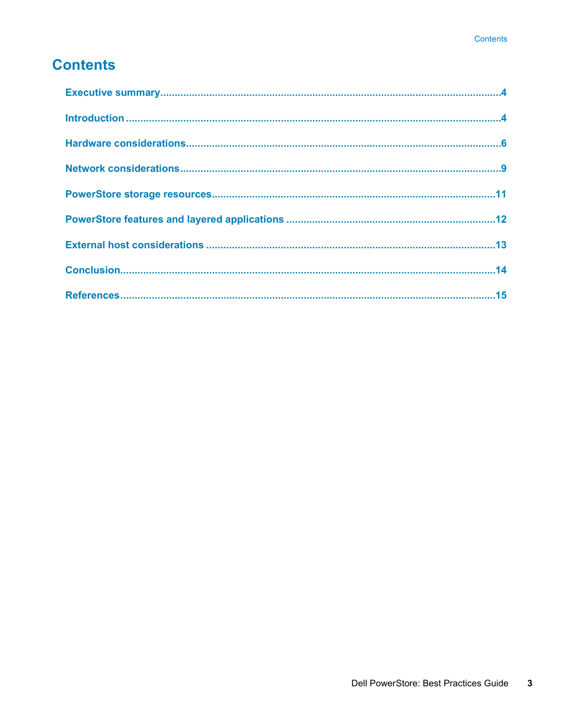## **Contents**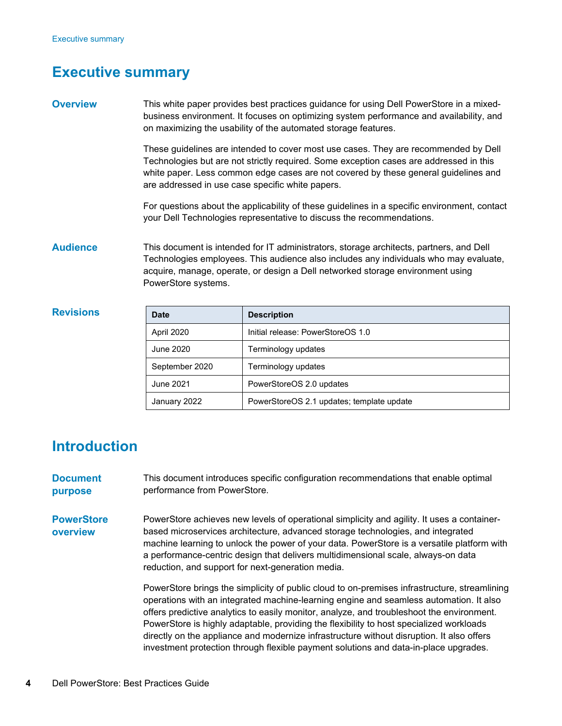## <span id="page-3-0"></span>**Executive summary**

| <b>Overview</b> | This white paper provides best practices guidance for using Dell PowerStore in a mixed- |
|-----------------|-----------------------------------------------------------------------------------------|
|                 | business environment. It focuses on optimizing system performance and availability, and |
|                 | on maximizing the usability of the automated storage features.                          |

These guidelines are intended to cover most use cases. They are recommended by Dell Technologies but are not strictly required. Some exception cases are addressed in this white paper. Less common edge cases are not covered by these general guidelines and are addressed in use case specific white papers.

For questions about the applicability of these guidelines in a specific environment, contact your Dell Technologies representative to discuss the recommendations.

This document is intended for IT administrators, storage architects, partners, and Dell Technologies employees. This audience also includes any individuals who may evaluate, acquire, manage, operate, or design a Dell networked storage environment using PowerStore systems. **Audience**

| <b>Revisions</b> | <b>Date</b>    | <b>Description</b>                        |
|------------------|----------------|-------------------------------------------|
|                  | April 2020     | Initial release: PowerStoreOS 1.0         |
|                  | June 2020      | Terminology updates                       |
|                  | September 2020 | Terminology updates                       |
|                  | June 2021      | PowerStoreOS 2.0 updates                  |
|                  | January 2022   | PowerStoreOS 2.1 updates; template update |

## <span id="page-3-1"></span>**Introduction**

| <b>Document</b><br>purpose    | This document introduces specific configuration recommendations that enable optimal<br>performance from PowerStore.                                                                                                                                                                                                                                                                                                   |
|-------------------------------|-----------------------------------------------------------------------------------------------------------------------------------------------------------------------------------------------------------------------------------------------------------------------------------------------------------------------------------------------------------------------------------------------------------------------|
| <b>PowerStore</b><br>overview | PowerStore achieves new levels of operational simplicity and agility. It uses a container-<br>based microservices architecture, advanced storage technologies, and integrated<br>machine learning to unlock the power of your data. PowerStore is a versatile platform with<br>a performance-centric design that delivers multidimensional scale, always-on data<br>reduction, and support for next-generation media. |
|                               | PowerStore brings the simplicity of public cloud to on-premises infrastructure, streamlining<br>operations with an integrated machine-learning engine and seamless automation. It also<br>offers predictive analytics to easily monitor, analyze, and troubleshoot the environment.<br>PowerStore is highly adaptable, providing the flexibility to host specialized workloads                                        |

PowerStore is highly adaptable, providing the flexibility to host specialized workloads directly on the appliance and modernize infrastructure without disruption. It also offers investment protection through flexible payment solutions and data-in-place upgrades.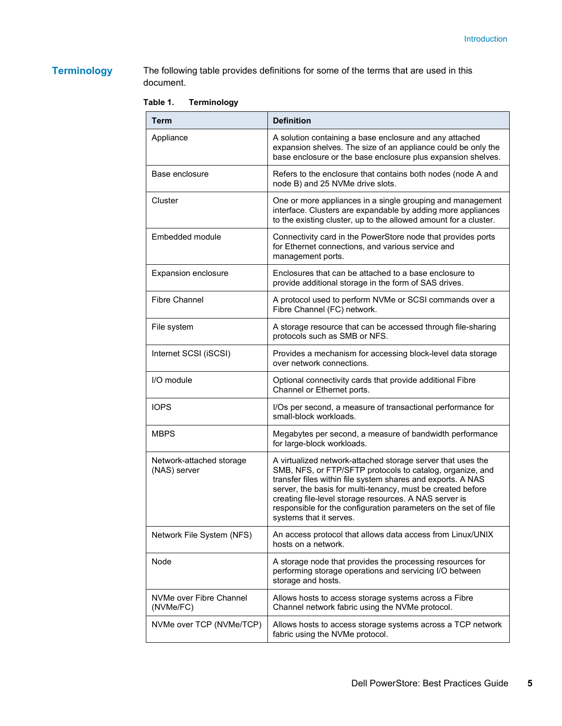## **Terminology**

The following table provides definitions for some of the terms that are used in this document.

**Table 1. Terminology** 

| <b>Term</b>                              | <b>Definition</b>                                                                                                                                                                                                                                                                                                                                                                                              |
|------------------------------------------|----------------------------------------------------------------------------------------------------------------------------------------------------------------------------------------------------------------------------------------------------------------------------------------------------------------------------------------------------------------------------------------------------------------|
| Appliance                                | A solution containing a base enclosure and any attached<br>expansion shelves. The size of an appliance could be only the<br>base enclosure or the base enclosure plus expansion shelves.                                                                                                                                                                                                                       |
| Base enclosure                           | Refers to the enclosure that contains both nodes (node A and<br>node B) and 25 NVMe drive slots.                                                                                                                                                                                                                                                                                                               |
| Cluster                                  | One or more appliances in a single grouping and management<br>interface. Clusters are expandable by adding more appliances<br>to the existing cluster, up to the allowed amount for a cluster.                                                                                                                                                                                                                 |
| Embedded module                          | Connectivity card in the PowerStore node that provides ports<br>for Ethernet connections, and various service and<br>management ports.                                                                                                                                                                                                                                                                         |
| Expansion enclosure                      | Enclosures that can be attached to a base enclosure to<br>provide additional storage in the form of SAS drives.                                                                                                                                                                                                                                                                                                |
| <b>Fibre Channel</b>                     | A protocol used to perform NVMe or SCSI commands over a<br>Fibre Channel (FC) network.                                                                                                                                                                                                                                                                                                                         |
| File system                              | A storage resource that can be accessed through file-sharing<br>protocols such as SMB or NFS.                                                                                                                                                                                                                                                                                                                  |
| Internet SCSI (iSCSI)                    | Provides a mechanism for accessing block-level data storage<br>over network connections.                                                                                                                                                                                                                                                                                                                       |
| I/O module                               | Optional connectivity cards that provide additional Fibre<br>Channel or Ethernet ports.                                                                                                                                                                                                                                                                                                                        |
| <b>IOPS</b>                              | I/Os per second, a measure of transactional performance for<br>small-block workloads.                                                                                                                                                                                                                                                                                                                          |
| <b>MBPS</b>                              | Megabytes per second, a measure of bandwidth performance<br>for large-block workloads.                                                                                                                                                                                                                                                                                                                         |
| Network-attached storage<br>(NAS) server | A virtualized network-attached storage server that uses the<br>SMB, NFS, or FTP/SFTP protocols to catalog, organize, and<br>transfer files within file system shares and exports. A NAS<br>server, the basis for multi-tenancy, must be created before<br>creating file-level storage resources. A NAS server is<br>responsible for the configuration parameters on the set of file<br>systems that it serves. |
| Network File System (NFS)                | An access protocol that allows data access from Linux/UNIX<br>hosts on a network.                                                                                                                                                                                                                                                                                                                              |
| Node                                     | A storage node that provides the processing resources for<br>performing storage operations and servicing I/O between<br>storage and hosts.                                                                                                                                                                                                                                                                     |
| NVMe over Fibre Channel<br>(NVMe/FC)     | Allows hosts to access storage systems across a Fibre<br>Channel network fabric using the NVMe protocol.                                                                                                                                                                                                                                                                                                       |
| NVMe over TCP (NVMe/TCP)                 | Allows hosts to access storage systems across a TCP network<br>fabric using the NVMe protocol.                                                                                                                                                                                                                                                                                                                 |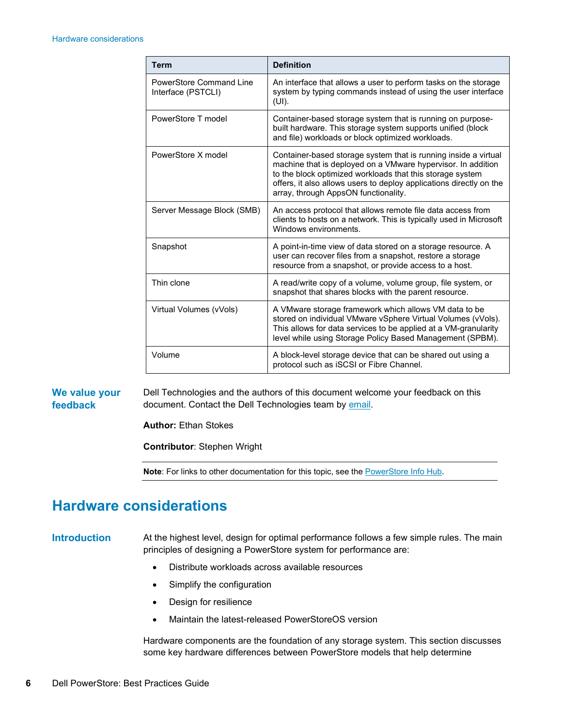| <b>Term</b>                                   | <b>Definition</b>                                                                                                                                                                                                                                                                                           |
|-----------------------------------------------|-------------------------------------------------------------------------------------------------------------------------------------------------------------------------------------------------------------------------------------------------------------------------------------------------------------|
| PowerStore Command Line<br>Interface (PSTCLI) | An interface that allows a user to perform tasks on the storage<br>system by typing commands instead of using the user interface<br>$(UI)$ .                                                                                                                                                                |
| PowerStore T model                            | Container-based storage system that is running on purpose-<br>built hardware. This storage system supports unified (block<br>and file) workloads or block optimized workloads.                                                                                                                              |
| PowerStore X model                            | Container-based storage system that is running inside a virtual<br>machine that is deployed on a VMware hypervisor. In addition<br>to the block optimized workloads that this storage system<br>offers, it also allows users to deploy applications directly on the<br>array, through AppsON functionality. |
| Server Message Block (SMB)                    | An access protocol that allows remote file data access from<br>clients to hosts on a network. This is typically used in Microsoft<br>Windows environments.                                                                                                                                                  |
| Snapshot                                      | A point-in-time view of data stored on a storage resource. A<br>user can recover files from a snapshot, restore a storage<br>resource from a snapshot, or provide access to a host.                                                                                                                         |
| Thin clone                                    | A read/write copy of a volume, volume group, file system, or<br>snapshot that shares blocks with the parent resource.                                                                                                                                                                                       |
| Virtual Volumes (vVols)                       | A VMware storage framework which allows VM data to be<br>stored on individual VMware vSphere Virtual Volumes (vVols).<br>This allows for data services to be applied at a VM-granularity<br>level while using Storage Policy Based Management (SPBM).                                                       |
| Volume                                        | A block-level storage device that can be shared out using a<br>protocol such as iSCSI or Fibre Channel.                                                                                                                                                                                                     |

Dell Technologies and the authors of this document welcome your feedback on this document. Contact the Dell Technologies team by [email.](mailto:tech.doc.feedback@dell.com) **We value your feedback**

**Author:** Ethan Stokes

**Contributor**: Stephen Wright

**Note**: For links to other documentation for this topic, see the [PowerStore Info Hub.](https://infohub.delltechnologies.com/t/powerstore-15)

## <span id="page-5-0"></span>**Hardware considerations**

#### **Introduction**

At the highest level, design for optimal performance follows a few simple rules. The main principles of designing a PowerStore system for performance are:

- Distribute workloads across available resources
- Simplify the configuration
- Design for resilience
- Maintain the latest-released PowerStoreOS version

Hardware components are the foundation of any storage system. This section discusses some key hardware differences between PowerStore models that help determine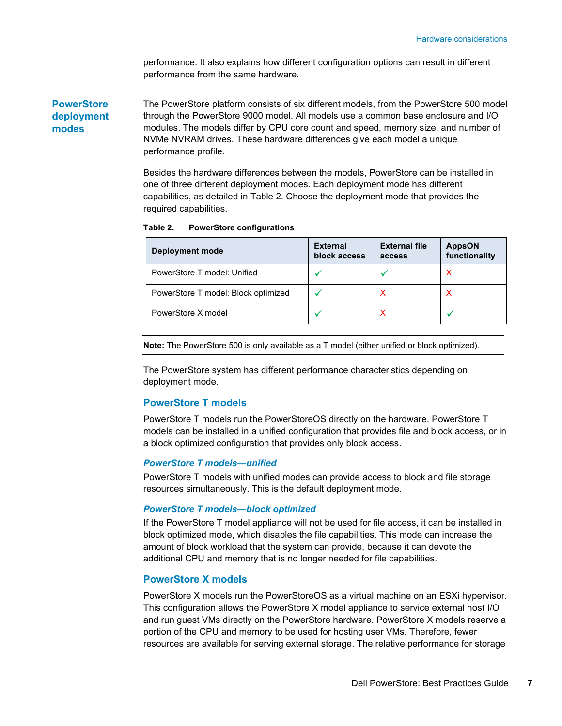performance. It also explains how different configuration options can result in different performance from the same hardware.

The PowerStore platform consists of six different models, from the PowerStore 500 model through the PowerStore 9000 model. All models use a common base enclosure and I/O modules. The models differ by CPU core count and speed, memory size, and number of NVMe NVRAM drives. These hardware differences give each model a unique performance profile. **PowerStore deployment modes**

> Besides the hardware differences between the models, PowerStore can be installed in one of three different deployment modes. Each deployment mode has different capabilities, as detailed in [Table 2.](#page-6-0) Choose the deployment mode that provides the required capabilities.

| <b>Deployment mode</b>              | <b>External</b><br>block access | <b>External file</b><br>access | <b>AppsON</b><br>functionality |
|-------------------------------------|---------------------------------|--------------------------------|--------------------------------|
| PowerStore T model: Unified         |                                 |                                |                                |
| PowerStore T model: Block optimized |                                 |                                |                                |
| PowerStore X model                  |                                 | ⋏                              |                                |

<span id="page-6-0"></span>**Table 2. PowerStore configurations**

**Note:** The PowerStore 500 is only available as a T model (either unified or block optimized).

The PowerStore system has different performance characteristics depending on deployment mode.

#### **PowerStore T models**

PowerStore T models run the PowerStoreOS directly on the hardware. PowerStore T models can be installed in a unified configuration that provides file and block access, or in a block optimized configuration that provides only block access.

#### *PowerStore T models—unified*

PowerStore T models with unified modes can provide access to block and file storage resources simultaneously. This is the default deployment mode.

#### *PowerStore T models—block optimized*

If the PowerStore T model appliance will not be used for file access, it can be installed in block optimized mode, which disables the file capabilities. This mode can increase the amount of block workload that the system can provide, because it can devote the additional CPU and memory that is no longer needed for file capabilities.

#### **PowerStore X models**

PowerStore X models run the PowerStoreOS as a virtual machine on an ESXi hypervisor. This configuration allows the PowerStore X model appliance to service external host I/O and run guest VMs directly on the PowerStore hardware. PowerStore X models reserve a portion of the CPU and memory to be used for hosting user VMs. Therefore, fewer resources are available for serving external storage. The relative performance for storage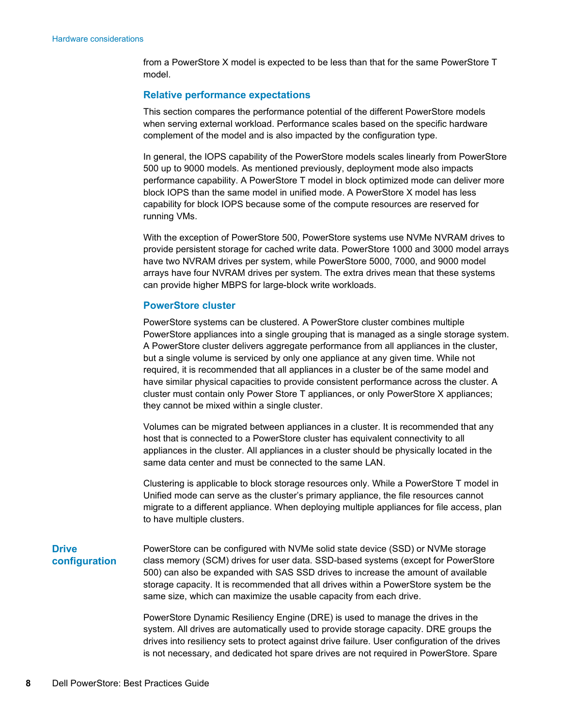from a PowerStore X model is expected to be less than that for the same PowerStore T model.

#### **Relative performance expectations**

This section compares the performance potential of the different PowerStore models when serving external workload. Performance scales based on the specific hardware complement of the model and is also impacted by the configuration type.

In general, the IOPS capability of the PowerStore models scales linearly from PowerStore 500 up to 9000 models. As mentioned previously, deployment mode also impacts performance capability. A PowerStore T model in block optimized mode can deliver more block IOPS than the same model in unified mode. A PowerStore X model has less capability for block IOPS because some of the compute resources are reserved for running VMs.

With the exception of PowerStore 500, PowerStore systems use NVMe NVRAM drives to provide persistent storage for cached write data. PowerStore 1000 and 3000 model arrays have two NVRAM drives per system, while PowerStore 5000, 7000, and 9000 model arrays have four NVRAM drives per system. The extra drives mean that these systems can provide higher MBPS for large-block write workloads.

#### **PowerStore cluster**

PowerStore systems can be clustered. A PowerStore cluster combines multiple PowerStore appliances into a single grouping that is managed as a single storage system. A PowerStore cluster delivers aggregate performance from all appliances in the cluster, but a single volume is serviced by only one appliance at any given time. While not required, it is recommended that all appliances in a cluster be of the same model and have similar physical capacities to provide consistent performance across the cluster. A cluster must contain only Power Store T appliances, or only PowerStore X appliances; they cannot be mixed within a single cluster.

Volumes can be migrated between appliances in a cluster. It is recommended that any host that is connected to a PowerStore cluster has equivalent connectivity to all appliances in the cluster. All appliances in a cluster should be physically located in the same data center and must be connected to the same LAN.

Clustering is applicable to block storage resources only. While a PowerStore T model in Unified mode can serve as the cluster's primary appliance, the file resources cannot migrate to a different appliance. When deploying multiple appliances for file access, plan to have multiple clusters.

#### **Drive configuration**

PowerStore can be configured with NVMe solid state device (SSD) or NVMe storage class memory (SCM) drives for user data. SSD-based systems (except for PowerStore 500) can also be expanded with SAS SSD drives to increase the amount of available storage capacity. It is recommended that all drives within a PowerStore system be the same size, which can maximize the usable capacity from each drive.

PowerStore Dynamic Resiliency Engine (DRE) is used to manage the drives in the system. All drives are automatically used to provide storage capacity. DRE groups the drives into resiliency sets to protect against drive failure. User configuration of the drives is not necessary, and dedicated hot spare drives are not required in PowerStore. Spare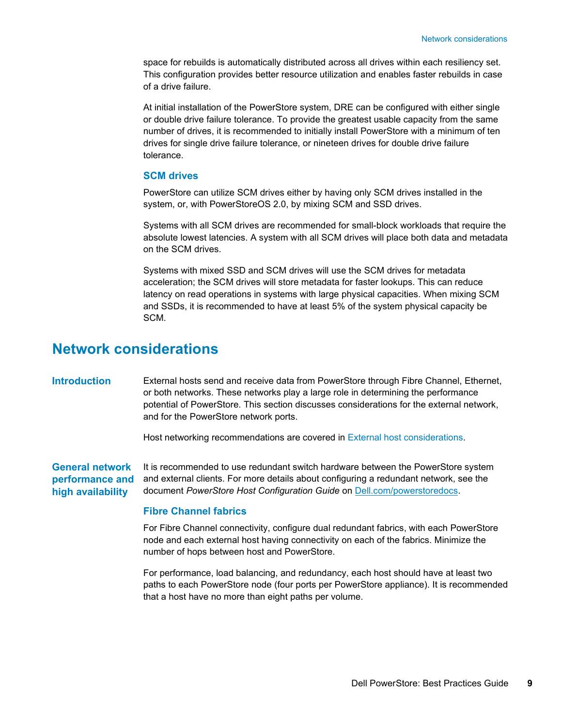space for rebuilds is automatically distributed across all drives within each resiliency set. This configuration provides better resource utilization and enables faster rebuilds in case of a drive failure.

At initial installation of the PowerStore system, DRE can be configured with either single or double drive failure tolerance. To provide the greatest usable capacity from the same number of drives, it is recommended to initially install PowerStore with a minimum of ten drives for single drive failure tolerance, or nineteen drives for double drive failure tolerance.

#### **SCM drives**

PowerStore can utilize SCM drives either by having only SCM drives installed in the system, or, with PowerStoreOS 2.0, by mixing SCM and SSD drives.

Systems with all SCM drives are recommended for small-block workloads that require the absolute lowest latencies. A system with all SCM drives will place both data and metadata on the SCM drives.

Systems with mixed SSD and SCM drives will use the SCM drives for metadata acceleration; the SCM drives will store metadata for faster lookups. This can reduce latency on read operations in systems with large physical capacities. When mixing SCM and SSDs, it is recommended to have at least 5% of the system physical capacity be SCM.

## <span id="page-8-0"></span>**Network considerations**

External hosts send and receive data from PowerStore through Fibre Channel, Ethernet, or both networks. These networks play a large role in determining the performance potential of PowerStore. This section discusses considerations for the external network, and for the PowerStore network ports. **Introduction**

Host networking recommendations are covered in [External host considerations.](#page-12-0)

It is recommended to use redundant switch hardware between the PowerStore system **performance and** and external clients. For more details about configuring a redundant network, see the document *PowerStore Host Configuration Guide* on [Dell.com/powerstoredocs.](https://www.dell.com/powerstoredocs) **General network high availability**

#### **Fibre Channel fabrics**

For Fibre Channel connectivity, configure dual redundant fabrics, with each PowerStore node and each external host having connectivity on each of the fabrics. Minimize the number of hops between host and PowerStore.

For performance, load balancing, and redundancy, each host should have at least two paths to each PowerStore node (four ports per PowerStore appliance). It is recommended that a host have no more than eight paths per volume.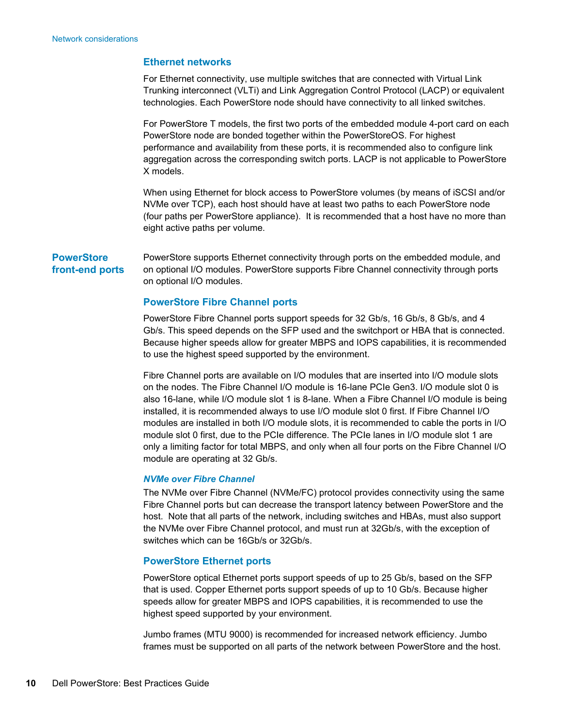#### **Ethernet networks**

For Ethernet connectivity, use multiple switches that are connected with Virtual Link Trunking interconnect (VLTi) and Link Aggregation Control Protocol (LACP) or equivalent technologies. Each PowerStore node should have connectivity to all linked switches.

For PowerStore T models, the first two ports of the embedded module 4-port card on each PowerStore node are bonded together within the PowerStoreOS. For highest performance and availability from these ports, it is recommended also to configure link aggregation across the corresponding switch ports. LACP is not applicable to PowerStore X models.

When using Ethernet for block access to PowerStore volumes (by means of iSCSI and/or NVMe over TCP), each host should have at least two paths to each PowerStore node (four paths per PowerStore appliance). It is recommended that a host have no more than eight active paths per volume.

#### **PowerStore front-end ports**

PowerStore supports Ethernet connectivity through ports on the embedded module, and on optional I/O modules. PowerStore supports Fibre Channel connectivity through ports on optional I/O modules.

#### **PowerStore Fibre Channel ports**

PowerStore Fibre Channel ports support speeds for 32 Gb/s, 16 Gb/s, 8 Gb/s, and 4 Gb/s. This speed depends on the SFP used and the switchport or HBA that is connected. Because higher speeds allow for greater MBPS and IOPS capabilities, it is recommended to use the highest speed supported by the environment.

Fibre Channel ports are available on I/O modules that are inserted into I/O module slots on the nodes. The Fibre Channel I/O module is 16-lane PCIe Gen3. I/O module slot 0 is also 16-lane, while I/O module slot 1 is 8-lane. When a Fibre Channel I/O module is being installed, it is recommended always to use I/O module slot 0 first. If Fibre Channel I/O modules are installed in both I/O module slots, it is recommended to cable the ports in I/O module slot 0 first, due to the PCIe difference. The PCIe lanes in I/O module slot 1 are only a limiting factor for total MBPS, and only when all four ports on the Fibre Channel I/O module are operating at 32 Gb/s.

#### *NVMe over Fibre Channel*

The NVMe over Fibre Channel (NVMe/FC) protocol provides connectivity using the same Fibre Channel ports but can decrease the transport latency between PowerStore and the host. Note that all parts of the network, including switches and HBAs, must also support the NVMe over Fibre Channel protocol, and must run at 32Gb/s, with the exception of switches which can be 16Gb/s or 32Gb/s.

#### **PowerStore Ethernet ports**

PowerStore optical Ethernet ports support speeds of up to 25 Gb/s, based on the SFP that is used. Copper Ethernet ports support speeds of up to 10 Gb/s. Because higher speeds allow for greater MBPS and IOPS capabilities, it is recommended to use the highest speed supported by your environment.

Jumbo frames (MTU 9000) is recommended for increased network efficiency. Jumbo frames must be supported on all parts of the network between PowerStore and the host.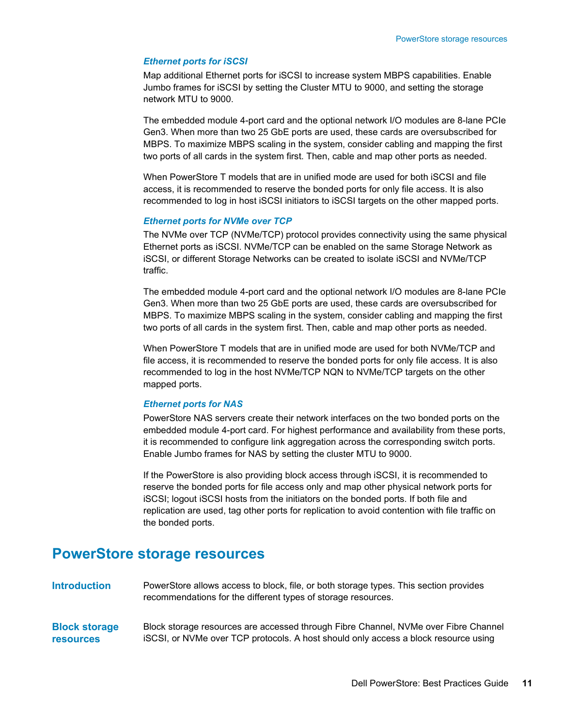#### *Ethernet ports for iSCSI*

Map additional Ethernet ports for iSCSI to increase system MBPS capabilities. Enable Jumbo frames for iSCSI by setting the Cluster MTU to 9000, and setting the storage network MTU to 9000.

The embedded module 4-port card and the optional network I/O modules are 8-lane PCIe Gen3. When more than two 25 GbE ports are used, these cards are oversubscribed for MBPS. To maximize MBPS scaling in the system, consider cabling and mapping the first two ports of all cards in the system first. Then, cable and map other ports as needed.

When PowerStore T models that are in unified mode are used for both iSCSI and file access, it is recommended to reserve the bonded ports for only file access. It is also recommended to log in host iSCSI initiators to iSCSI targets on the other mapped ports.

#### *Ethernet ports for NVMe over TCP*

The NVMe over TCP (NVMe/TCP) protocol provides connectivity using the same physical Ethernet ports as iSCSI. NVMe/TCP can be enabled on the same Storage Network as iSCSI, or different Storage Networks can be created to isolate iSCSI and NVMe/TCP traffic.

The embedded module 4-port card and the optional network I/O modules are 8-lane PCIe Gen3. When more than two 25 GbE ports are used, these cards are oversubscribed for MBPS. To maximize MBPS scaling in the system, consider cabling and mapping the first two ports of all cards in the system first. Then, cable and map other ports as needed.

When PowerStore T models that are in unified mode are used for both NVMe/TCP and file access, it is recommended to reserve the bonded ports for only file access. It is also recommended to log in the host NVMe/TCP NQN to NVMe/TCP targets on the other mapped ports.

#### *Ethernet ports for NAS*

PowerStore NAS servers create their network interfaces on the two bonded ports on the embedded module 4-port card. For highest performance and availability from these ports, it is recommended to configure link aggregation across the corresponding switch ports. Enable Jumbo frames for NAS by setting the cluster MTU to 9000.

If the PowerStore is also providing block access through iSCSI, it is recommended to reserve the bonded ports for file access only and map other physical network ports for iSCSI; logout iSCSI hosts from the initiators on the bonded ports. If both file and replication are used, tag other ports for replication to avoid contention with file traffic on the bonded ports.

### <span id="page-10-0"></span>**PowerStore storage resources**

PowerStore allows access to block, file, or both storage types. This section provides recommendations for the different types of storage resources. **Introduction**

Block storage resources are accessed through Fibre Channel, NVMe over Fibre Channel iSCSI, or NVMe over TCP protocols. A host should only access a block resource using **Block storage resources**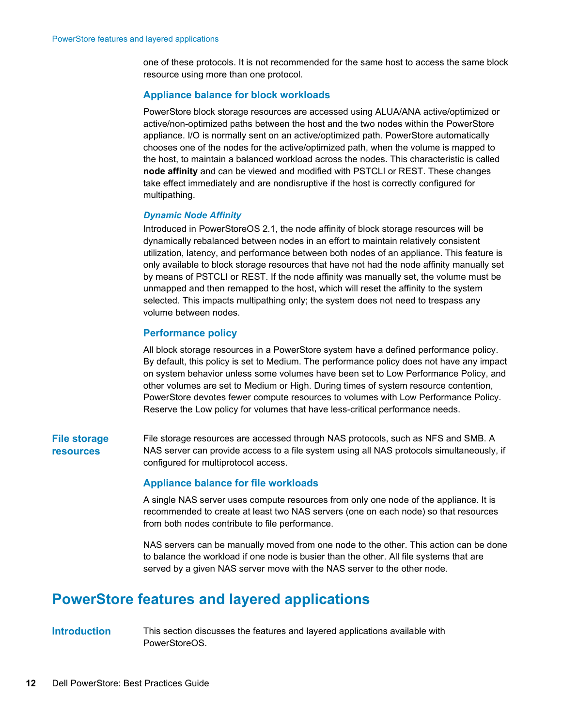one of these protocols. It is not recommended for the same host to access the same block resource using more than one protocol.

#### **Appliance balance for block workloads**

PowerStore block storage resources are accessed using ALUA/ANA active/optimized or active/non-optimized paths between the host and the two nodes within the PowerStore appliance. I/O is normally sent on an active/optimized path. PowerStore automatically chooses one of the nodes for the active/optimized path, when the volume is mapped to the host, to maintain a balanced workload across the nodes. This characteristic is called **node affinity** and can be viewed and modified with PSTCLI or REST. These changes take effect immediately and are nondisruptive if the host is correctly configured for multipathing.

#### *Dynamic Node Affinity*

Introduced in PowerStoreOS 2.1, the node affinity of block storage resources will be dynamically rebalanced between nodes in an effort to maintain relatively consistent utilization, latency, and performance between both nodes of an appliance. This feature is only available to block storage resources that have not had the node affinity manually set by means of PSTCLI or REST. If the node affinity was manually set, the volume must be unmapped and then remapped to the host, which will reset the affinity to the system selected. This impacts multipathing only; the system does not need to trespass any volume between nodes.

#### **Performance policy**

All block storage resources in a PowerStore system have a defined performance policy. By default, this policy is set to Medium. The performance policy does not have any impact on system behavior unless some volumes have been set to Low Performance Policy, and other volumes are set to Medium or High. During times of system resource contention, PowerStore devotes fewer compute resources to volumes with Low Performance Policy. Reserve the Low policy for volumes that have less-critical performance needs.

#### **File storage resources**

File storage resources are accessed through NAS protocols, such as NFS and SMB. A NAS server can provide access to a file system using all NAS protocols simultaneously, if configured for multiprotocol access.

#### **Appliance balance for file workloads**

A single NAS server uses compute resources from only one node of the appliance. It is recommended to create at least two NAS servers (one on each node) so that resources from both nodes contribute to file performance.

NAS servers can be manually moved from one node to the other. This action can be done to balance the workload if one node is busier than the other. All file systems that are served by a given NAS server move with the NAS server to the other node.

## <span id="page-11-0"></span>**PowerStore features and layered applications**

**Introduction**

This section discusses the features and layered applications available with PowerStoreOS.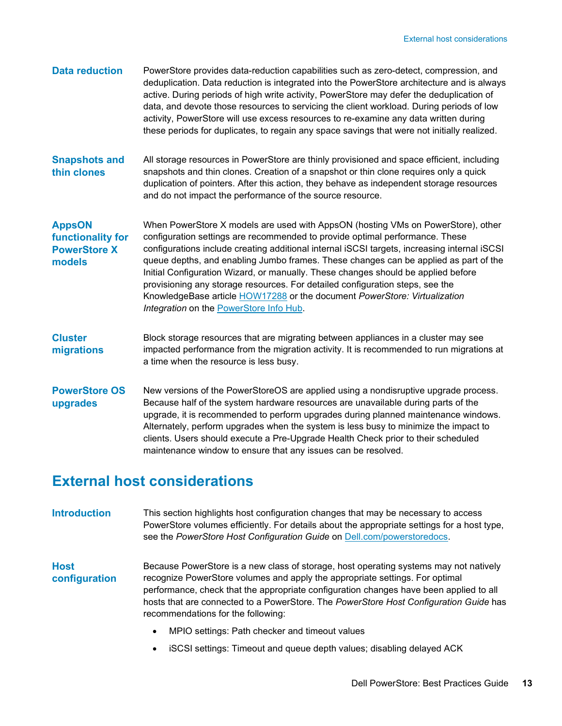| <b>Data reduction</b>                                               | PowerStore provides data-reduction capabilities such as zero-detect, compression, and<br>deduplication. Data reduction is integrated into the PowerStore architecture and is always<br>active. During periods of high write activity, PowerStore may defer the deduplication of<br>data, and devote those resources to servicing the client workload. During periods of low<br>activity, PowerStore will use excess resources to re-examine any data written during<br>these periods for duplicates, to regain any space savings that were not initially realized.                                                                                                   |
|---------------------------------------------------------------------|----------------------------------------------------------------------------------------------------------------------------------------------------------------------------------------------------------------------------------------------------------------------------------------------------------------------------------------------------------------------------------------------------------------------------------------------------------------------------------------------------------------------------------------------------------------------------------------------------------------------------------------------------------------------|
| <b>Snapshots and</b><br>thin clones                                 | All storage resources in PowerStore are thinly provisioned and space efficient, including<br>snapshots and thin clones. Creation of a snapshot or thin clone requires only a quick<br>duplication of pointers. After this action, they behave as independent storage resources<br>and do not impact the performance of the source resource.                                                                                                                                                                                                                                                                                                                          |
| <b>AppsON</b><br>functionality for<br><b>PowerStore X</b><br>models | When PowerStore X models are used with AppsON (hosting VMs on PowerStore), other<br>configuration settings are recommended to provide optimal performance. These<br>configurations include creating additional internal iSCSI targets, increasing internal iSCSI<br>queue depths, and enabling Jumbo frames. These changes can be applied as part of the<br>Initial Configuration Wizard, or manually. These changes should be applied before<br>provisioning any storage resources. For detailed configuration steps, see the<br>KnowledgeBase article <b>HOW17288</b> or the document <i>PowerStore: Virtualization</i><br>Integration on the PowerStore Info Hub. |
| <b>Cluster</b><br>migrations                                        | Block storage resources that are migrating between appliances in a cluster may see<br>impacted performance from the migration activity. It is recommended to run migrations at<br>a time when the resource is less busy.                                                                                                                                                                                                                                                                                                                                                                                                                                             |
| <b>PowerStore OS</b><br>upgrades                                    | New versions of the PowerStoreOS are applied using a nondisruptive upgrade process.<br>Because half of the system hardware resources are unavailable during parts of the<br>upgrade, it is recommended to perform upgrades during planned maintenance windows.<br>Alternately, perform upgrades when the system is less busy to minimize the impact to<br>clients. Users should execute a Pre-Upgrade Health Check prior to their scheduled<br>maintenance window to ensure that any issues can be resolved.                                                                                                                                                         |

## <span id="page-12-0"></span>**External host considerations**

This section highlights host configuration changes that may be necessary to access PowerStore volumes efficiently. For details about the appropriate settings for a host type, see the *PowerStore Host Configuration Guide* on [Dell.com/powerstoredocs.](https://www.dell.com/powerstoredocs) **Introduction**

Because PowerStore is a new class of storage, host operating systems may not natively recognize PowerStore volumes and apply the appropriate settings. For optimal performance, check that the appropriate configuration changes have been applied to all hosts that are connected to a PowerStore. The *PowerStore Host Configuration Guide* has recommendations for the following: **Host configuration**

- MPIO settings: Path checker and timeout values
- iSCSI settings: Timeout and queue depth values; disabling delayed ACK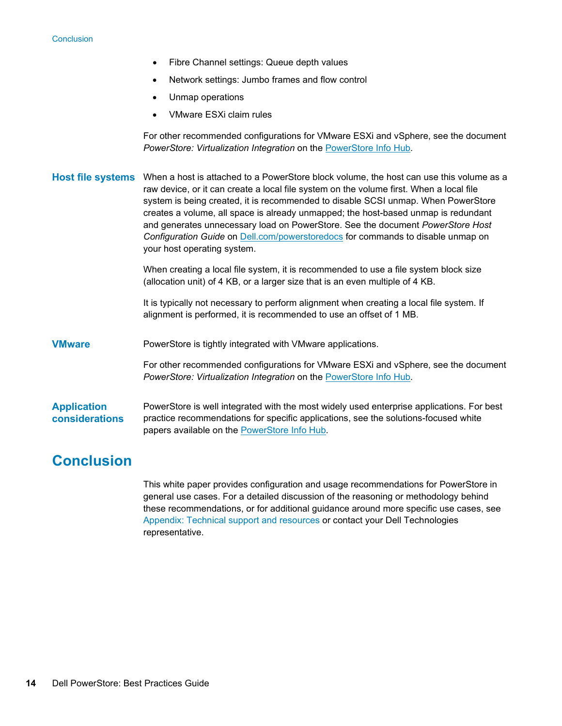- Fibre Channel settings: Queue depth values
- Network settings: Jumbo frames and flow control
- Unmap operations
- VMware ESXi claim rules

For other recommended configurations for VMware ESXi and vSphere, see the document *PowerStore: Virtualization Integration* on the [PowerStore Info Hub](https://infohub.delltechnologies.com/t/powerstore-15/)*.*

|                                      | Host file systems When a host is attached to a PowerStore block volume, the host can use this volume as a<br>raw device, or it can create a local file system on the volume first. When a local file<br>system is being created, it is recommended to disable SCSI unmap. When PowerStore<br>creates a volume, all space is already unmapped; the host-based unmap is redundant<br>and generates unnecessary load on PowerStore. See the document PowerStore Host<br>Configuration Guide on Dell.com/powerstoredocs for commands to disable unmap on<br>your host operating system. |
|--------------------------------------|-------------------------------------------------------------------------------------------------------------------------------------------------------------------------------------------------------------------------------------------------------------------------------------------------------------------------------------------------------------------------------------------------------------------------------------------------------------------------------------------------------------------------------------------------------------------------------------|
|                                      | When creating a local file system, it is recommended to use a file system block size<br>(allocation unit) of 4 KB, or a larger size that is an even multiple of 4 KB.                                                                                                                                                                                                                                                                                                                                                                                                               |
|                                      | It is typically not necessary to perform alignment when creating a local file system. If<br>alignment is performed, it is recommended to use an offset of 1 MB.                                                                                                                                                                                                                                                                                                                                                                                                                     |
| <b>VMware</b>                        | PowerStore is tightly integrated with VMware applications.                                                                                                                                                                                                                                                                                                                                                                                                                                                                                                                          |
|                                      | For other recommended configurations for VMware ESXi and vSphere, see the document<br>PowerStore: Virtualization Integration on the PowerStore Info Hub.                                                                                                                                                                                                                                                                                                                                                                                                                            |
| <b>Application</b><br>considerations | PowerStore is well integrated with the most widely used enterprise applications. For best<br>practice recommendations for specific applications, see the solutions-focused white<br>papers available on the PowerStore Info Hub.                                                                                                                                                                                                                                                                                                                                                    |

## <span id="page-13-0"></span>**Conclusion**

This white paper provides configuration and usage recommendations for PowerStore in general use cases. For a detailed discussion of the reasoning or methodology behind these recommendations, or for additional guidance around more specific use cases, see Appendix: Technical support and resources or contact your Dell Technologies representative.